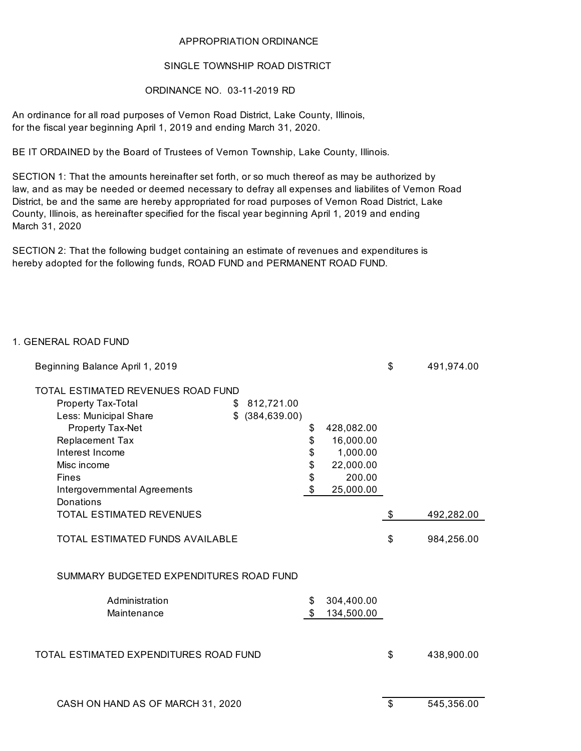### APPROPRIATION ORDINANCE

#### SINGLE TOWNSHIP ROAD DISTRICT

### ORDINANCE NO. 03-11-2019 RD

An ordinance for all road purposes of Vernon Road District, Lake County, Illinois, for the fiscal year beginning April 1, 2019 and ending March 31, 2020.

BE IT ORDAINED by the Board of Trustees of Vernon Township, Lake County, Illinois.

law, and as may be needed or deemed necessary to defray all expenses and liabilites of Vernon Road District, be and the same are hereby appropriated for road purposes of Vernon Road District, Lake County, Illinois, as hereinafter specified for the fiscal year beginning April 1, 2019 and ending March 31, 2020 SECTION 1: That the amounts hereinafter set forth, or so much thereof as may be authorized by

SECTION 2: That the following budget containing an estimate of revenues and expenditures is hereby adopted for the following funds, ROAD FUND and PERMANENT ROAD FUND.

### 1. GENERAL ROAD FUND

| Beginning Balance April 1, 2019         |                  |                  | \$<br>491,974.00 |
|-----------------------------------------|------------------|------------------|------------------|
| TOTAL ESTIMATED REVENUES ROAD FUND      |                  |                  |                  |
| <b>Property Tax-Total</b>               | \$812,721.00     |                  |                  |
| Less: Municipal Share                   | $$$ (384,639.00) |                  |                  |
| Property Tax-Net                        |                  | \$<br>428,082.00 |                  |
| Replacement Tax                         |                  | \$<br>16,000.00  |                  |
| Interest Income                         |                  | \$<br>1,000.00   |                  |
| Misc income                             |                  | \$<br>22,000.00  |                  |
| <b>Fines</b>                            |                  | \$<br>200.00     |                  |
| Intergovernmental Agreements            |                  | \$<br>25,000.00  |                  |
| <b>Donations</b>                        |                  |                  |                  |
| <b>TOTAL ESTIMATED REVENUES</b>         |                  |                  | \$<br>492,282.00 |
| <b>TOTAL ESTIMATED FUNDS AVAILABLE</b>  |                  |                  | \$<br>984,256.00 |
| SUMMARY BUDGETED EXPENDITURES ROAD FUND |                  |                  |                  |
| Administration                          |                  | \$<br>304,400.00 |                  |
| Maintenance                             |                  | \$<br>134,500.00 |                  |
|                                         |                  |                  |                  |
| TOTAL ESTIMATED EXPENDITURES ROAD FUND  |                  |                  | \$<br>438,900.00 |
|                                         |                  |                  |                  |
| CASH ON HAND AS OF MARCH 31, 2020       |                  |                  | \$<br>545,356.00 |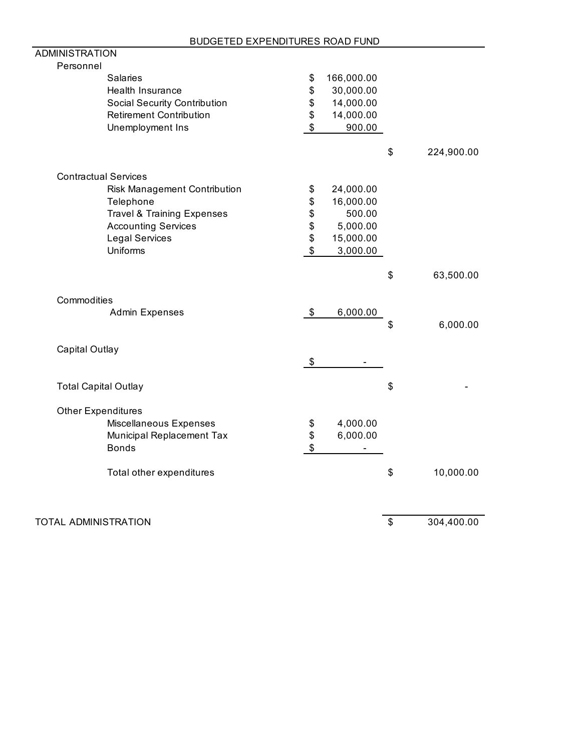| <b>ADMINISTRATION</b>                 |               |            |                  |
|---------------------------------------|---------------|------------|------------------|
| Personnel                             |               |            |                  |
| <b>Salaries</b>                       | \$            | 166,000.00 |                  |
| Health Insurance                      | \$            | 30,000.00  |                  |
| <b>Social Security Contribution</b>   | \$            | 14,000.00  |                  |
| <b>Retirement Contribution</b>        | \$            | 14,000.00  |                  |
| Unemployment Ins                      | \$            | 900.00     |                  |
|                                       |               |            |                  |
|                                       |               |            | \$<br>224,900.00 |
| <b>Contractual Services</b>           |               |            |                  |
| Risk Management Contribution          | \$            | 24,000.00  |                  |
| Telephone                             | \$            | 16,000.00  |                  |
| <b>Travel &amp; Training Expenses</b> | \$            | 500.00     |                  |
| <b>Accounting Services</b>            | \$            | 5,000.00   |                  |
| <b>Legal Services</b>                 | \$            | 15,000.00  |                  |
| Uniforms                              | $\frac{1}{2}$ | 3,000.00   |                  |
|                                       |               |            |                  |
|                                       |               |            | \$<br>63,500.00  |
| Commodities                           |               |            |                  |
| <b>Admin Expenses</b>                 | \$            | 6,000.00   |                  |
|                                       |               |            | \$<br>6,000.00   |
|                                       |               |            |                  |
| Capital Outlay                        |               |            |                  |
|                                       | \$            |            |                  |
|                                       |               |            | \$               |
| <b>Total Capital Outlay</b>           |               |            |                  |
| <b>Other Expenditures</b>             |               |            |                  |
| Miscellaneous Expenses                | \$            | 4,000.00   |                  |
| Municipal Replacement Tax             | $\frac{3}{3}$ | 6,000.00   |                  |
| <b>Bonds</b>                          |               |            |                  |
|                                       |               |            |                  |
| Total other expenditures              |               |            | \$<br>10,000.00  |
|                                       |               |            |                  |
| TOTAL ADMINISTRATION                  |               |            | \$<br>304,400.00 |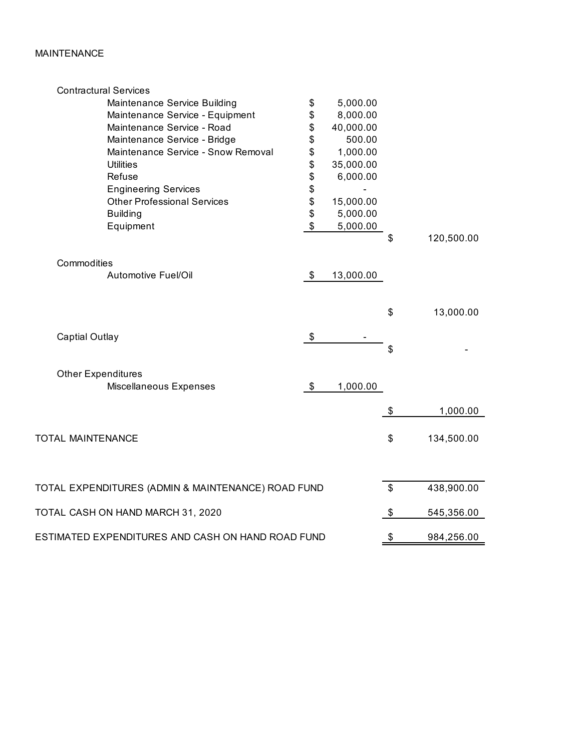# MAINTENANCE

| \$<br>5,000.00<br>Maintenance Service Building<br>\$<br>8,000.00<br>Maintenance Service - Equipment<br>\$<br>Maintenance Service - Road<br>40,000.00<br>\$<br>500.00<br>Maintenance Service - Bridge<br>\$<br>Maintenance Service - Snow Removal<br>1,000.00<br>\$<br><b>Utilities</b><br>35,000.00<br>\$<br>Refuse<br>6,000.00<br><b>Engineering Services</b><br>\$<br><b>Other Professional Services</b><br>15,000.00 |            |
|-------------------------------------------------------------------------------------------------------------------------------------------------------------------------------------------------------------------------------------------------------------------------------------------------------------------------------------------------------------------------------------------------------------------------|------------|
|                                                                                                                                                                                                                                                                                                                                                                                                                         |            |
|                                                                                                                                                                                                                                                                                                                                                                                                                         |            |
|                                                                                                                                                                                                                                                                                                                                                                                                                         |            |
|                                                                                                                                                                                                                                                                                                                                                                                                                         |            |
|                                                                                                                                                                                                                                                                                                                                                                                                                         |            |
|                                                                                                                                                                                                                                                                                                                                                                                                                         |            |
|                                                                                                                                                                                                                                                                                                                                                                                                                         |            |
|                                                                                                                                                                                                                                                                                                                                                                                                                         |            |
|                                                                                                                                                                                                                                                                                                                                                                                                                         |            |
| \$<br>5,000.00<br><b>Building</b>                                                                                                                                                                                                                                                                                                                                                                                       |            |
| \$<br>Equipment<br>5,000.00                                                                                                                                                                                                                                                                                                                                                                                             |            |
| \$                                                                                                                                                                                                                                                                                                                                                                                                                      | 120,500.00 |
| Commodities                                                                                                                                                                                                                                                                                                                                                                                                             |            |
| Automotive Fuel/Oil<br>\$<br>13,000.00                                                                                                                                                                                                                                                                                                                                                                                  |            |
| \$                                                                                                                                                                                                                                                                                                                                                                                                                      | 13,000.00  |
|                                                                                                                                                                                                                                                                                                                                                                                                                         |            |
| \$<br><b>Captial Outlay</b>                                                                                                                                                                                                                                                                                                                                                                                             |            |
| \$                                                                                                                                                                                                                                                                                                                                                                                                                      |            |
| <b>Other Expenditures</b>                                                                                                                                                                                                                                                                                                                                                                                               |            |
| \$<br>Miscellaneous Expenses<br>1,000.00                                                                                                                                                                                                                                                                                                                                                                                |            |
| \$                                                                                                                                                                                                                                                                                                                                                                                                                      | 1,000.00   |
|                                                                                                                                                                                                                                                                                                                                                                                                                         |            |
| TOTAL MAINTENANCE<br>\$                                                                                                                                                                                                                                                                                                                                                                                                 | 134,500.00 |
|                                                                                                                                                                                                                                                                                                                                                                                                                         |            |
| \$<br>TOTAL EXPENDITURES (ADMIN & MAINTENANCE) ROAD FUND                                                                                                                                                                                                                                                                                                                                                                | 438,900.00 |
| TOTAL CASH ON HAND MARCH 31, 2020<br>\$                                                                                                                                                                                                                                                                                                                                                                                 | 545,356.00 |
| ESTIMATED EXPENDITURES AND CASH ON HAND ROAD FUND<br>\$                                                                                                                                                                                                                                                                                                                                                                 | 984,256.00 |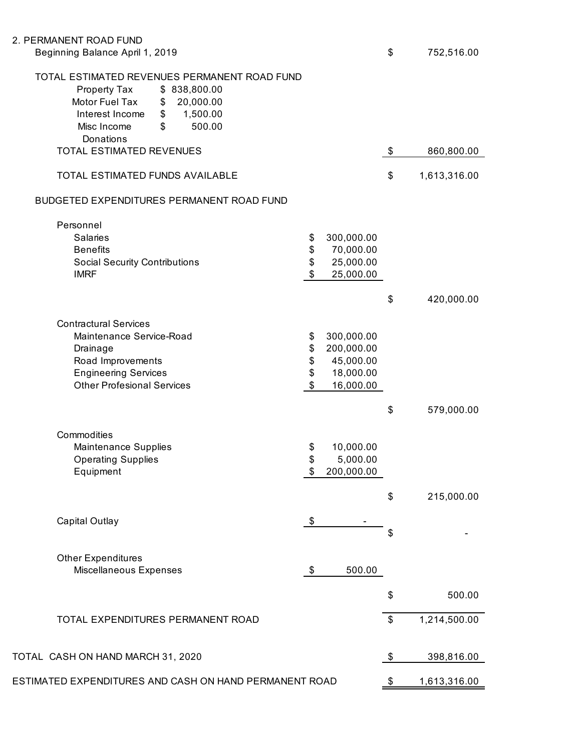## 2. PERMANENT ROAD FUND

| Beginning Balance April 1, 2019                                                                                                                                                                               | \$                                                              | 752,516.00   |
|---------------------------------------------------------------------------------------------------------------------------------------------------------------------------------------------------------------|-----------------------------------------------------------------|--------------|
| TOTAL ESTIMATED REVENUES PERMANENT ROAD FUND<br>Property Tax<br>\$838,800.00<br>Motor Fuel Tax<br>20,000.00<br>\$<br>1,500.00<br>Interest Income<br>$\frac{1}{2}$<br>\$<br>Misc Income<br>500.00<br>Donations |                                                                 |              |
| TOTAL ESTIMATED REVENUES                                                                                                                                                                                      | \$                                                              | 860,800.00   |
| TOTAL ESTIMATED FUNDS AVAILABLE                                                                                                                                                                               | \$                                                              | 1,613,316.00 |
| BUDGETED EXPENDITURES PERMANENT ROAD FUND                                                                                                                                                                     |                                                                 |              |
| Personnel<br><b>Salaries</b><br>\$<br>\$<br><b>Benefits</b><br>\$<br><b>Social Security Contributions</b><br>$\boldsymbol{\mathsf{S}}$<br><b>IMRF</b>                                                         | 300,000.00<br>70,000.00<br>25,000.00<br>25,000.00<br>\$         | 420,000.00   |
| <b>Contractural Services</b><br>Maintenance Service-Road<br>\$<br>\$<br>Drainage<br>\$<br>Road Improvements<br>\$<br><b>Engineering Services</b><br>$\mathfrak{S}$<br><b>Other Profesional Services</b>       | 300,000.00<br>200,000.00<br>45,000.00<br>18,000.00<br>16,000.00 |              |
| Commodities<br>Maintenance Supplies<br>\$<br>\$<br><b>Operating Supplies</b><br>Equipment<br>\$                                                                                                               | \$<br>10,000.00<br>5,000.00<br>200,000.00                       | 579,000.00   |
| \$<br>Capital Outlay                                                                                                                                                                                          | \$<br>\$                                                        | 215,000.00   |
| <b>Other Expenditures</b><br>Miscellaneous Expenses<br>\$                                                                                                                                                     | 500.00<br>\$                                                    | 500.00       |
| TOTAL EXPENDITURES PERMANENT ROAD                                                                                                                                                                             | \$                                                              | 1,214,500.00 |

ESTIMATED EXPENDITURES AND CASH ON HAND PERMANENT ROAD  $\frac{\$ 1,613,316.00}{}$ 

TOTAL CASH ON HAND MARCH 31, 2020 **\$** 398,816.00